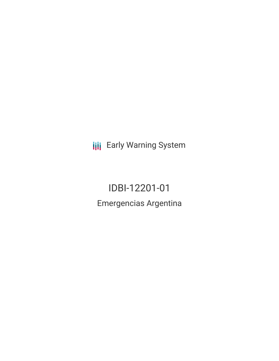**III** Early Warning System

IDBI-12201-01 Emergencias Argentina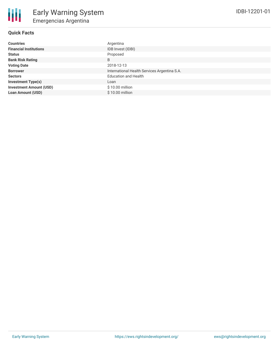# **Quick Facts**

| <b>Countries</b>               | Argentina                                    |
|--------------------------------|----------------------------------------------|
| <b>Financial Institutions</b>  | IDB Invest (IDBI)                            |
| <b>Status</b>                  | Proposed                                     |
| <b>Bank Risk Rating</b>        | B                                            |
| <b>Voting Date</b>             | 2018-12-13                                   |
| <b>Borrower</b>                | International Health Services Argentina S.A. |
| <b>Sectors</b>                 | <b>Education and Health</b>                  |
| <b>Investment Type(s)</b>      | Loan                                         |
| <b>Investment Amount (USD)</b> | $$10.00$ million                             |
| <b>Loan Amount (USD)</b>       | \$10.00 million                              |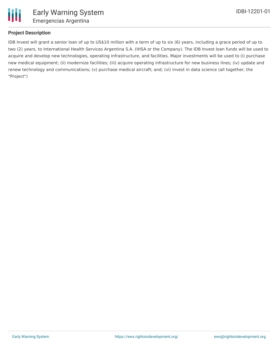

## **Project Description**

IDB Invest will grant a senior loan of up to US\$10 million with a term of up to six (6) years, including a grace period of up to two (2) years, to International Health Services Argentina S.A. (IHSA or the Company). The IDB Invest loan funds will be used to acquire and develop new technologies, operating infrastructure, and facilities. Major investments will be used to (i) purchase new medical equipment; (ii) modernize facilities; (iii) acquire operating infrastructure for new business lines; (iv) update and renew technology and communications; (v) purchase medical aircraft; and; (vi) invest in data science (all together, the "Project")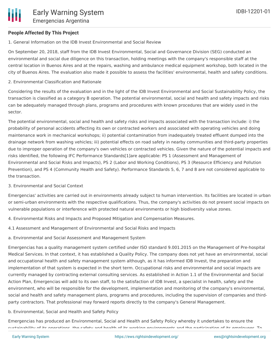#### **People Affected By This Project**

1. General Information on the IDB Invest Environmental and Social Review

On September 20, 2018, staff from the IDB Invest Environmental, Social and Governance Division (SEG) conducted an environmental and social due diligence on this transaction, holding meetings with the company's responsible staff at the central location in Buenos Aires and at the repairs, washing and ambulance medical equipment workshop, both located in the city of Buenos Aires. The evaluation also made it possible to assess the facilities' environmental, health and safety conditions.

2. Environmental Classification and Rationale

Considering the results of the evaluation and in the light of the IDB Invest Environmental and Social Sustainability Policy, the transaction is classified as a category B operation. The potential environmental, social and health and safety impacts and risks can be adequately managed through plans, programs and procedures with known procedures that are widely used in the sector.

The potential environmental, social and health and safety risks and impacts associated with the transaction include: i) the probability of personal accidents affecting its own or contracted workers and associated with operating vehicles and doing maintenance work in mechanical workshops; ii) potential contamination from inadequately treated effluent dumped into the drainage network from washing vehicles; iii) potential effects on road safety in nearby communities and third-party properties due to improper operation of the company's own vehicles or contracted vehicles. Given the nature of the potential impacts and risks identified, the following IFC Performance Standards[1]are applicable: PS 1 (Assessment and Management of Environmental and Social Risks and Impacts), PS 2 (Labor and Working Conditions), PS 3 (Resource Efficiency and Pollution Prevention), and PS 4 (Community Health and Safety). Performance Standards 5, 6, 7 and 8 are not considered applicable to the transaction.

#### 3. Environmental and Social Context

Emergencias' activities are carried out in environments already subject to human intervention. Its facilities are located in urban or semi-urban environments with the respective qualifications. Thus, the company's activities do not present social impacts on vulnerable populations or interference with protected natural environments or high biodiversity value zones.

- 4. Environmental Risks and Impacts and Proposed Mitigation and Compensation Measures.
- 4.1 Assessment and Management of Environmental and Social Risks and Impacts
- a. Environmental and Social Assessment and Management System

Emergencias has a quality management system certified under ISO standard 9.001.2015 on the Management of Pre-hospital Medical Services. In that context, it has established a Quality Policy. The company does not yet have an environmental, social and occupational health and safety management system although, as it has informed IDB Invest, the preparation and implementation of that system is expected in the short term. Occupational risks and environmental and social impacts are currently managed by contracting external consulting services. As established in Action 1.1 of the Environmental and Social Action Plan, Emergencias will add to its own staff, to the satisfaction of IDB Invest, a specialist in health, safety and the environment, who will be responsible for the development, implementation and monitoring of the company's environmental, social and health and safety management plans, programs and procedures, including the supervision of companies and thirdparty contractors. That professional may forward reports directly to the company's General Management.

b. Environmental, Social and Health and Safety Policy

Emergencias has produced an Environmental, Social and Health and Safety Policy whereby it undertakes to ensure the sustainability of its operations, the safety and health of its working environments and the participation of its employees. To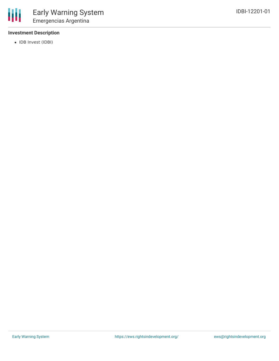

# **Investment Description**

• IDB Invest (IDBI)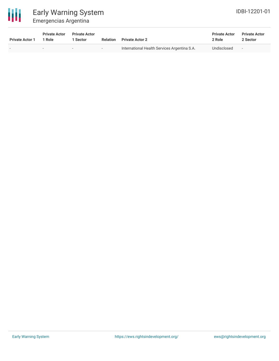

# Early Warning System Emergencias Argentina

| <b>Private Actor 1</b> | <b>Private Actor</b><br>1 Role | <b>Private Actor</b><br>Sector | Relation | <b>Private Actor 2</b>                       | <b>Private Actor</b><br>2 Role | <b>Private Actor</b><br>2 Sector |  |
|------------------------|--------------------------------|--------------------------------|----------|----------------------------------------------|--------------------------------|----------------------------------|--|
|                        |                                | $\overline{\phantom{0}}$       | $\sim$   | International Health Services Argentina S.A. | Undisclosed                    | <b>Service</b>                   |  |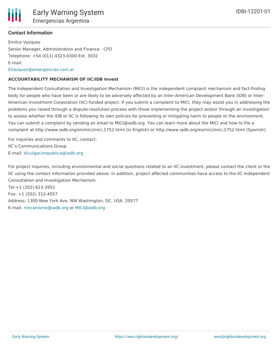## **Contact Information**

Emilce Vazquez Senior Manager, Administration and Finance - CFO Telephone: +54 (011) 4323-0300 Ext. 3032 E-mail: [EVazquez@emergencias.com.ar](mailto:EVazquez@emergencias.com.ar)

#### **ACCOUNTABILITY MECHANISM OF IIC/IDB Invest**

The Independent Consultation and Investigation Mechanism (MICI) is the independent complaint mechanism and fact-finding body for people who have been or are likely to be adversely affected by an Inter-American Development Bank (IDB) or Inter-American Investment Corporation (IIC)-funded project. If you submit a complaint to MICI, they may assist you in addressing the problems you raised through a dispute-resolution process with those implementing the project and/or through an investigation to assess whether the IDB or IIC is following its own policies for preventing or mitigating harm to people or the environment. You can submit a complaint by sending an email to MICI@iadb.org. You can learn more about the MICI and how to file a complaint at http://www.iadb.org/en/mici/mici,1752.html (in English) or http://www.iadb.org/es/mici/mici,1752.html (Spanish).

For inquiries and comments to IIC, contact: IIC's Communications Group E-mail: [divulgacionpublica@iadb.org](mailto:divulgacionpublica@iadb.org)

For project inquiries, including environmental and social questions related to an IIC investment, please contact the client or the IIC using the contact information provided above. In addition, project affected communities have access to the IIC Independent Consultation and Investigation Mechanism.

Tel:+1 (202) 623-3952 Fax: +1 (202) 312-4057 Address: 1300 New York Ave. NW Washington, DC. USA. 20577 E-mail: [mecanismo@iadb.org](mailto:mecanismo@iadb.org) or [MICI@iadb.org](mailto:MICI@iadb.org)